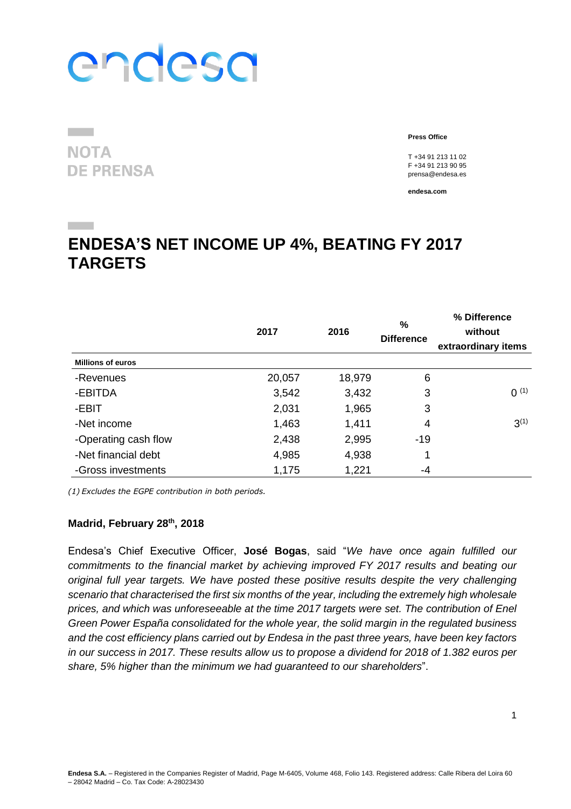**NOTA DE PRENSA**  **Press Office**

T +34 91 213 11 02 F +34 91 213 90 95 prensa@endesa.es

**endesa.com**

### **ENDESA'S NET INCOME UP 4%, BEATING FY 2017 TARGETS**

|                          | 2017   | 2016   | %<br><b>Difference</b> | % Difference<br>without<br>extraordinary items |
|--------------------------|--------|--------|------------------------|------------------------------------------------|
| <b>Millions of euros</b> |        |        |                        |                                                |
| -Revenues                | 20,057 | 18,979 | 6                      |                                                |
| -EBITDA                  | 3,542  | 3,432  | 3                      | $0^{(1)}$                                      |
| -EBIT                    | 2,031  | 1,965  | 3                      |                                                |
| -Net income              | 1,463  | 1,411  | 4                      | $3^{(1)}$                                      |
| -Operating cash flow     | 2,438  | 2,995  | $-19$                  |                                                |
| -Net financial debt      | 4,985  | 4,938  | 1                      |                                                |
| -Gross investments       | 1,175  | 1,221  | -4                     |                                                |

*(1) Excludes the EGPE contribution in both periods.*

#### **Madrid, February 28th , 2018**

Endesa's Chief Executive Officer, **José Bogas**, said "*We have once again fulfilled our commitments to the financial market by achieving improved FY 2017 results and beating our original full year targets. We have posted these positive results despite the very challenging scenario that characterised the first six months of the year, including the extremely high wholesale prices, and which was unforeseeable at the time 2017 targets were set. The contribution of Enel Green Power España consolidated for the whole year, the solid margin in the regulated business and the cost efficiency plans carried out by Endesa in the past three years, have been key factors in our success in 2017. These results allow us to propose a dividend for 2018 of 1.382 euros per share, 5% higher than the minimum we had guaranteed to our shareholders*".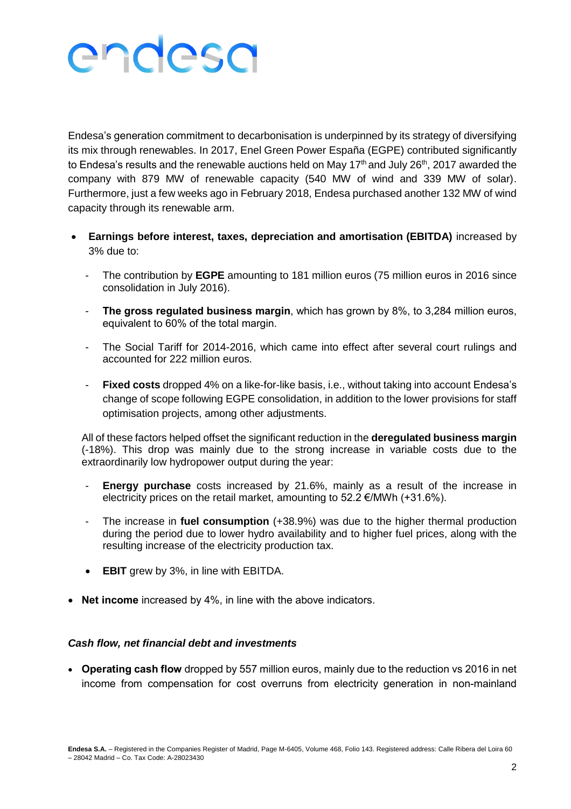Endesa's generation commitment to decarbonisation is underpinned by its strategy of diversifying its mix through renewables. In 2017, Enel Green Power España (EGPE) contributed significantly to Endesa's results and the renewable auctions held on May  $17<sup>th</sup>$  and July 26<sup>th</sup>, 2017 awarded the company with 879 MW of renewable capacity (540 MW of wind and 339 MW of solar). Furthermore, just a few weeks ago in February 2018, Endesa purchased another 132 MW of wind capacity through its renewable arm.

- **Earnings before interest, taxes, depreciation and amortisation (EBITDA)** increased by 3% due to:
	- The contribution by **EGPE** amounting to 181 million euros (75 million euros in 2016 since consolidation in July 2016).
	- **The gross regulated business margin, which has grown by 8%, to 3,284 million euros,** equivalent to 60% of the total margin.
	- The Social Tariff for 2014-2016, which came into effect after several court rulings and accounted for 222 million euros.
	- **Fixed costs** dropped 4% on a like-for-like basis, i.e., without taking into account Endesa's change of scope following EGPE consolidation, in addition to the lower provisions for staff optimisation projects, among other adjustments.

All of these factors helped offset the significant reduction in the **deregulated business margin**  (-18%). This drop was mainly due to the strong increase in variable costs due to the extraordinarily low hydropower output during the year:

- **Energy purchase** costs increased by 21.6%, mainly as a result of the increase in electricity prices on the retail market, amounting to  $52.2 \text{ } \in$ /MWh (+31.6%).
- The increase in **fuel consumption** (+38.9%) was due to the higher thermal production during the period due to lower hydro availability and to higher fuel prices, along with the resulting increase of the electricity production tax.
- **EBIT** grew by 3%, in line with EBITDA.
- **Net income** increased by 4%, in line with the above indicators.

#### *Cash flow, net financial debt and investments*

 **Operating cash flow** dropped by 557 million euros, mainly due to the reduction vs 2016 in net income from compensation for cost overruns from electricity generation in non-mainland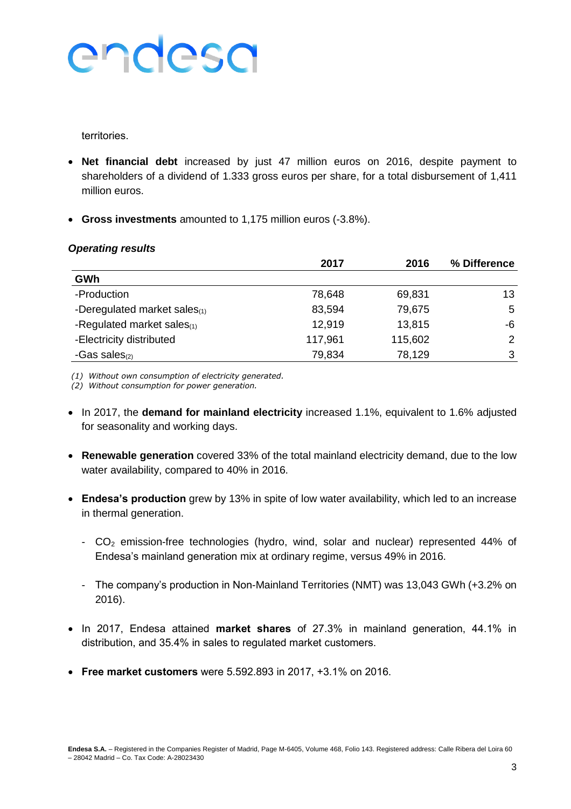territories.

- **Net financial debt** increased by just 47 million euros on 2016, despite payment to shareholders of a dividend of 1.333 gross euros per share, for a total disbursement of 1,411 million euros.
- **Gross investments** amounted to 1,175 million euros (-3.8%).

#### *Operating results*

|                              | 2017    | 2016    | % Difference |
|------------------------------|---------|---------|--------------|
| GWh                          |         |         |              |
| -Production                  | 78,648  | 69,831  | 13           |
| -Deregulated market sales(1) | 83,594  | 79,675  | 5            |
| -Regulated market sales(1)   | 12,919  | 13,815  | -6           |
| -Electricity distributed     | 117,961 | 115,602 | 2            |
| -Gas sales $(2)$             | 79,834  | 78,129  | 3            |

*(1) Without own consumption of electricity generated.*

*(2) Without consumption for power generation.*

- In 2017, the **demand for mainland electricity** increased 1.1%, equivalent to 1.6% adjusted for seasonality and working days.
- **Renewable generation** covered 33% of the total mainland electricity demand, due to the low water availability, compared to 40% in 2016.
- **Endesa's production** grew by 13% in spite of low water availability, which led to an increase in thermal generation.
	- CO<sup>2</sup> emission-free technologies (hydro, wind, solar and nuclear) represented 44% of Endesa's mainland generation mix at ordinary regime, versus 49% in 2016.
	- The company's production in Non-Mainland Territories (NMT) was 13,043 GWh (+3.2% on 2016).
- In 2017, Endesa attained **market shares** of 27.3% in mainland generation, 44.1% in distribution, and 35.4% in sales to regulated market customers.
- **Free market customers** were 5.592.893 in 2017, +3.1% on 2016.